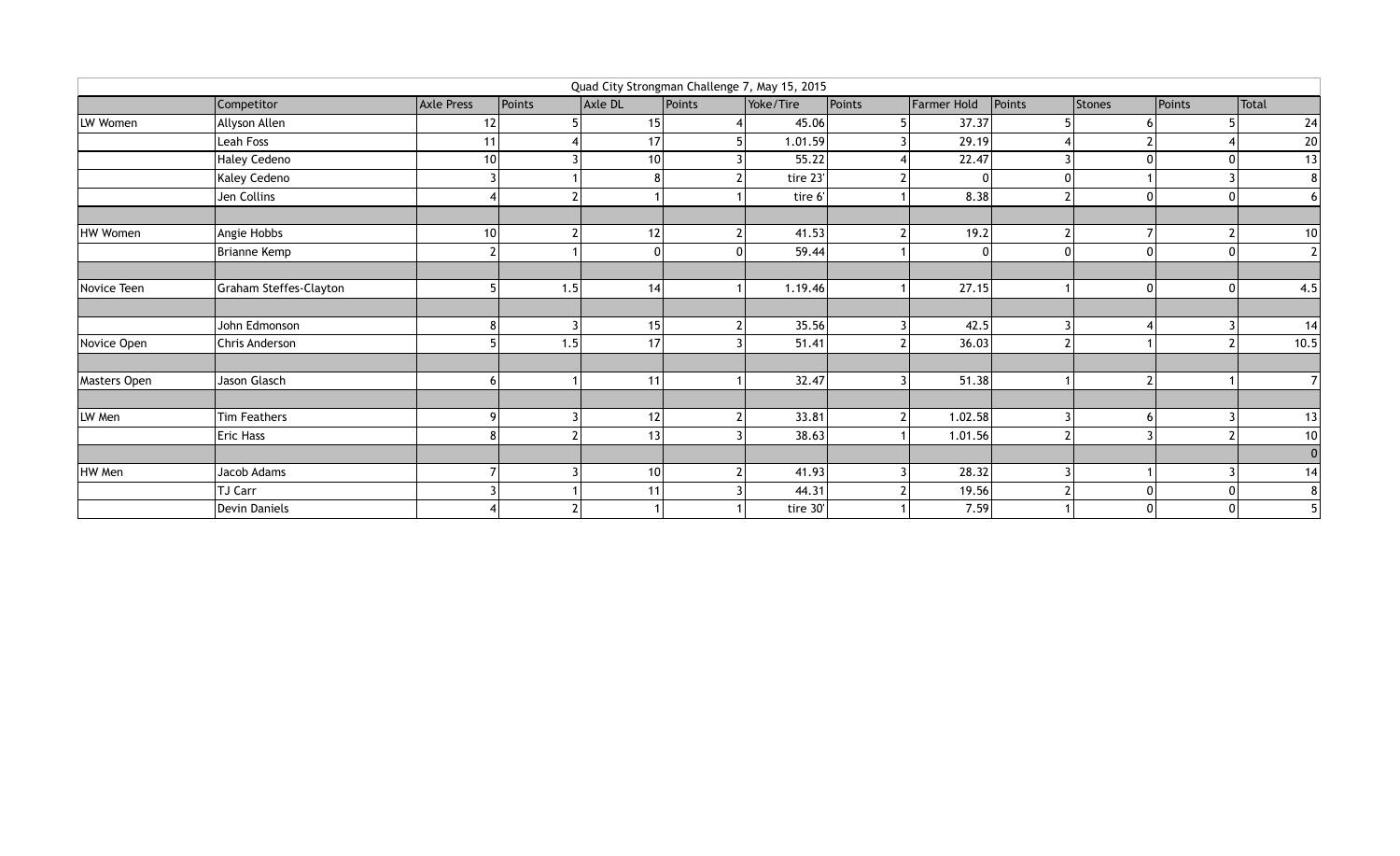|              |                        |            |        |         | Quad City Strongman Challenge 7, May 15, 2015 |           |          |        |             |                |                |        |       |                 |
|--------------|------------------------|------------|--------|---------|-----------------------------------------------|-----------|----------|--------|-------------|----------------|----------------|--------|-------|-----------------|
|              | Competitor             | Axle Press | Points | Axle DL | Points                                        | Yoke/Tire |          | Points | Farmer Hold | Points         | Stones         | Points | Total |                 |
| LW Women     | Allyson Allen          | 12         |        | 15      |                                               |           | 45.06    |        | 37.37       |                | O              |        |       | 24              |
|              | Leah Foss              | 11         |        | 17      |                                               |           | 1.01.59  |        | 29.19       |                | $\overline{2}$ |        |       | 20              |
|              | Haley Cedeno           | 10         |        | 10      |                                               |           | 55.22    |        | 22.47       |                | $\Omega$       |        |       | $\overline{13}$ |
|              | Kaley Cedeno           |            |        |         |                                               |           | tire 23' |        |             | $\mathbf{0}$   |                |        |       | 8 <sup>1</sup>  |
|              | Jen Collins            |            |        |         |                                               |           | tire 6'  |        | 8.38        |                | 0              |        |       | 6 <sup>1</sup>  |
| HW Women     | Angie Hobbs            | 10         |        | 12      |                                               |           | 41.53    |        | 19.2        |                | $\overline{7}$ |        |       | 10              |
|              | Brianne Kemp           |            |        |         |                                               |           | 59.44    |        | 0           | $\overline{0}$ |                |        |       | $\vert$ 2       |
| Novice Teen  | Graham Steffes-Clayton |            | 1.5    | 14      |                                               |           | 1.19.46  |        | 27.15       |                |                |        |       | 4.5             |
|              |                        |            |        |         |                                               |           |          |        |             |                |                |        |       |                 |
|              | John Edmonson          | 8          |        | 15      |                                               |           | 35.56    |        | 42.5        |                | 4              |        |       | 14              |
| Novice Open  | Chris Anderson         |            | 1.5    | 17      |                                               |           | 51.41    |        | 36.03       |                |                |        | 10.5  |                 |
| Masters Open | Jason Glasch           |            |        | 11      |                                               |           | 32.47    |        | 51.38       |                | $\overline{2}$ |        |       | $\overline{7}$  |
| LW Men       | <b>Tim Feathers</b>    |            |        | 12      |                                               |           | 33.81    |        | 1.02.58     |                | b              |        |       | 13              |
|              | <b>Eric Hass</b>       | 8          |        | 13      |                                               |           | 38.63    |        | 1.01.56     |                | 3              |        |       | 10              |
|              |                        |            |        |         |                                               |           |          |        |             |                |                |        |       | 0               |
| HW Men       | Jacob Adams            |            |        | 10      |                                               |           | 41.93    |        | 28.32       |                |                |        |       | 14              |
|              | TJ Carr                |            |        | 11      |                                               |           | 44.31    |        | 19.56       |                | 0              |        |       | 8 <sup>1</sup>  |
|              | Devin Daniels          |            |        |         |                                               |           | tire 30' |        | 7.59        |                | 0              |        |       |                 |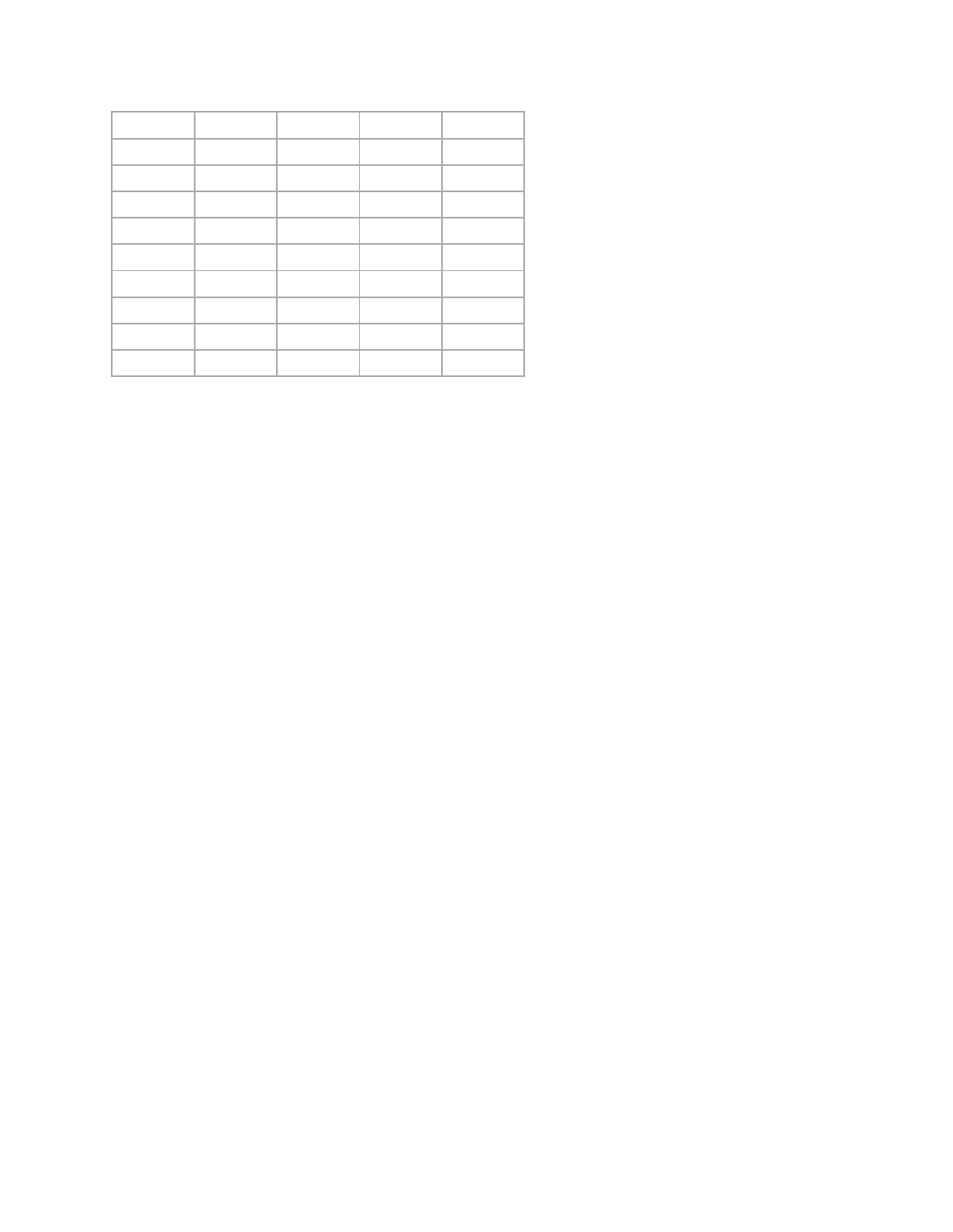|                                                             | the control of the control of the control of the control of                               | the control of the control of the control of the control of the control of                                      | the control of the control of the control of the control of |  |
|-------------------------------------------------------------|-------------------------------------------------------------------------------------------|-----------------------------------------------------------------------------------------------------------------|-------------------------------------------------------------|--|
|                                                             |                                                                                           |                                                                                                                 |                                                             |  |
| the control of the control of the control of the control of | the control of the control of the control of the control of the control of the control of | the control of the control of the control of the control of the control of                                      | the control of the control of the control of                |  |
|                                                             |                                                                                           | <u> 1989 - Andrea Stadt Britain, amerikansk fotballstva i sve</u>                                               |                                                             |  |
|                                                             |                                                                                           | the contract of the contract of the contract of the contract of the contract of the contract of the contract of |                                                             |  |
|                                                             |                                                                                           | the control of the control of the control of the control of the control of                                      |                                                             |  |
|                                                             |                                                                                           |                                                                                                                 |                                                             |  |
|                                                             | the control of the control of the control of the control of                               | the control of the control of the control of the control of                                                     | the control of the control of the control of                |  |